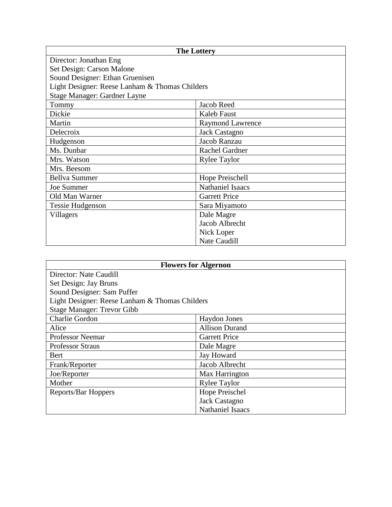| <b>The Lottery</b>                             |                         |  |
|------------------------------------------------|-------------------------|--|
| Director: Jonathan Eng                         |                         |  |
| Set Design: Carson Malone                      |                         |  |
| Sound Designer: Ethan Gruenisen                |                         |  |
| Light Designer: Reese Lanham & Thomas Childers |                         |  |
| Stage Manager: Gardner Layne                   |                         |  |
| Tommy                                          | Jacob Reed              |  |
| Dickie                                         | Kaleb Faust             |  |
| Martin                                         | <b>Raymond Lawrence</b> |  |
| Delecroix                                      | <b>Jack Castagno</b>    |  |
| Hudgenson                                      | Jacob Ranzau            |  |
| Ms. Dunbar                                     | Rachel Gardner          |  |
| Mrs. Watson                                    | <b>Rylee Taylor</b>     |  |
| Mrs. Beesom                                    |                         |  |
| <b>Bellva Summer</b>                           | Hope Preischell         |  |
| Joe Summer                                     | <b>Nathaniel Isaacs</b> |  |
| Old Man Warner                                 | <b>Garrett Price</b>    |  |
| <b>Tessie Hudgenson</b>                        | Sara Miyamoto           |  |
| Villagers                                      | Dale Magre              |  |
|                                                | Jacob Albrecht          |  |
|                                                | Nick Loper              |  |
|                                                | <b>Nate Caudill</b>     |  |

| <b>Flowers for Algernon</b>                    |                         |  |
|------------------------------------------------|-------------------------|--|
| Director: Nate Caudill                         |                         |  |
| Set Design: Jay Bruns                          |                         |  |
| Sound Designer: Sam Puffer                     |                         |  |
| Light Designer: Reese Lanham & Thomas Childers |                         |  |
| <b>Stage Manager: Trevor Gibb</b>              |                         |  |
| <b>Charlie Gordon</b>                          | Haydon Jones            |  |
| Alice                                          | <b>Allison Durand</b>   |  |
| <b>Professor Neemar</b>                        | <b>Garrett Price</b>    |  |
| <b>Professor Straus</b>                        | Dale Magre              |  |
| <b>Bert</b>                                    | Jay Howard              |  |
| Frank/Reporter                                 | Jacob Albrecht          |  |
| Joe/Reporter                                   | Max Harrington          |  |
| Mother                                         | <b>Rylee Taylor</b>     |  |
| Reports/Bar Hoppers                            | Hope Preischel          |  |
|                                                | Jack Castagno           |  |
|                                                | <b>Nathaniel Isaacs</b> |  |